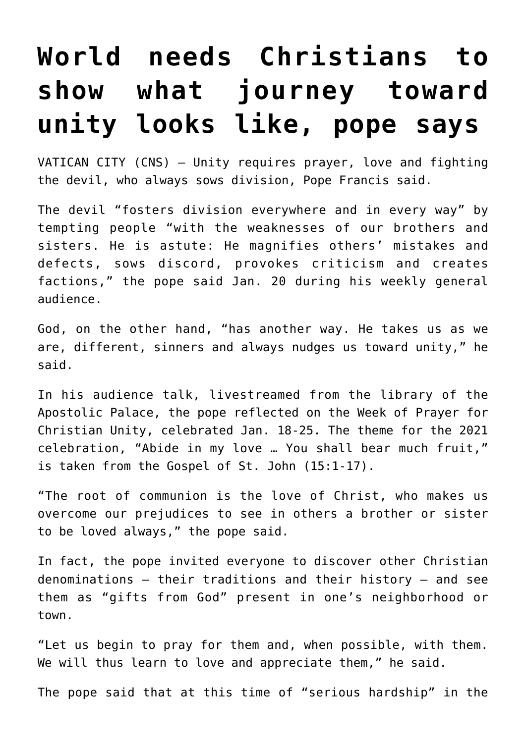## **[World needs Christians to](https://www.osvnews.com/2021/01/20/world-needs-christians-to-show-what-journey-toward-unity-looks-like-pope-says/) [show what journey toward](https://www.osvnews.com/2021/01/20/world-needs-christians-to-show-what-journey-toward-unity-looks-like-pope-says/) [unity looks like, pope says](https://www.osvnews.com/2021/01/20/world-needs-christians-to-show-what-journey-toward-unity-looks-like-pope-says/)**

VATICAN CITY (CNS) — Unity requires prayer, love and fighting the devil, who always sows division, Pope Francis said.

The devil "fosters division everywhere and in every way" by tempting people "with the weaknesses of our brothers and sisters. He is astute: He magnifies others' mistakes and defects, sows discord, provokes criticism and creates factions," the pope said Jan. 20 during his weekly general audience.

God, on the other hand, "has another way. He takes us as we are, different, sinners and always nudges us toward unity," he said.

In his audience talk, livestreamed from the library of the Apostolic Palace, the pope reflected on the Week of Prayer for Christian Unity, celebrated Jan. 18-25. The theme for the 2021 celebration, "Abide in my love … You shall bear much fruit," is taken from the Gospel of St. John (15:1-17).

"The root of communion is the love of Christ, who makes us overcome our prejudices to see in others a brother or sister to be loved always," the pope said.

In fact, the pope invited everyone to discover other Christian denominations — their traditions and their history — and see them as "gifts from God" present in one's neighborhood or town.

"Let us begin to pray for them and, when possible, with them. We will thus learn to love and appreciate them," he said.

The pope said that at this time of "serious hardship" in the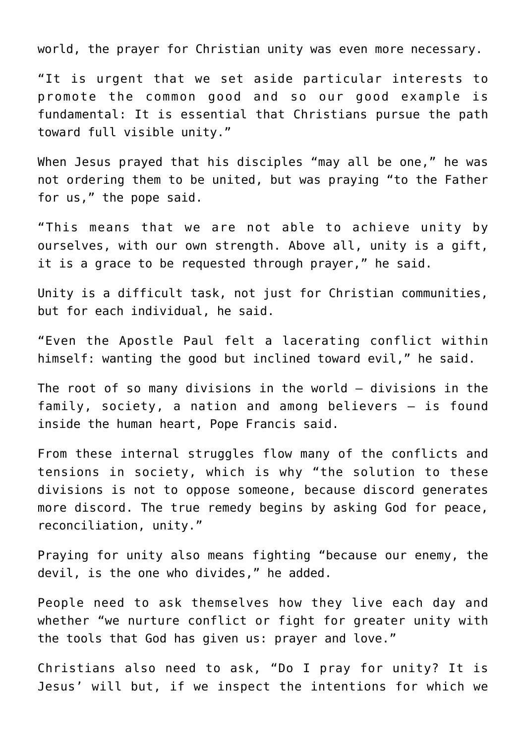world, the prayer for Christian unity was even more necessary.

"It is urgent that we set aside particular interests to promote the common good and so our good example is fundamental: It is essential that Christians pursue the path toward full visible unity."

When Jesus prayed that his disciples "may all be one," he was not ordering them to be united, but was praying "to the Father for us," the pope said.

"This means that we are not able to achieve unity by ourselves, with our own strength. Above all, unity is a gift, it is a grace to be requested through prayer," he said.

Unity is a difficult task, not just for Christian communities, but for each individual, he said.

"Even the Apostle Paul felt a lacerating conflict within himself: wanting the good but inclined toward evil," he said.

The root of so many divisions in the world — divisions in the family, society, a nation and among believers — is found inside the human heart, Pope Francis said.

From these internal struggles flow many of the conflicts and tensions in society, which is why "the solution to these divisions is not to oppose someone, because discord generates more discord. The true remedy begins by asking God for peace, reconciliation, unity."

Praying for unity also means fighting "because our enemy, the devil, is the one who divides," he added.

People need to ask themselves how they live each day and whether "we nurture conflict or fight for greater unity with the tools that God has given us: prayer and love."

Christians also need to ask, "Do I pray for unity? It is Jesus' will but, if we inspect the intentions for which we